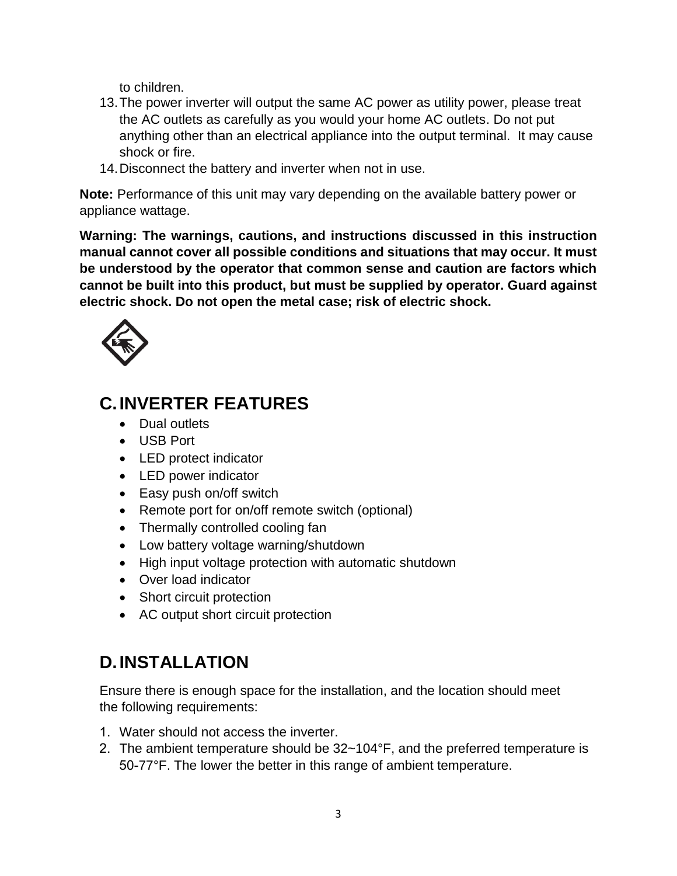to children.

- 13.The power inverter will output the same AC power as utility power, please treat the AC outlets as carefully as you would your home AC outlets. Do not put anything other than an electrical appliance into the output terminal. It may cause shock or fire.
- 14.Disconnect the battery and inverter when not in use.

**Note:** Performance of this unit may vary depending on the available battery power or appliance wattage.

**Warning: The warnings, cautions, and instructions discussed in this instruction manual cannot cover all possible conditions and situations that may occur. It must be understood by the operator that common sense and caution are factors which cannot be built into this product, but must be supplied by operator. Guard against electric shock. Do not open the metal case; risk of electric shock.**



## **C.INVERTER FEATURES**

- Dual outlets
- USB Port
- LED protect indicator
- LED power indicator
- Easy push on/off switch
- Remote port for on/off remote switch (optional)
- Thermally controlled cooling fan
- Low battery voltage warning/shutdown
- High input voltage protection with automatic shutdown
- Over load indicator
- Short circuit protection
- AC output short circuit protection

# **D.INSTALLATION**

Ensure there is enough space for the installation, and the location should meet the following requirements:

- 1. Water should not access the inverter.
- 2. The ambient temperature should be 32~104°F, and the preferred temperature is 50-77°F. The lower the better in this range of ambient temperature.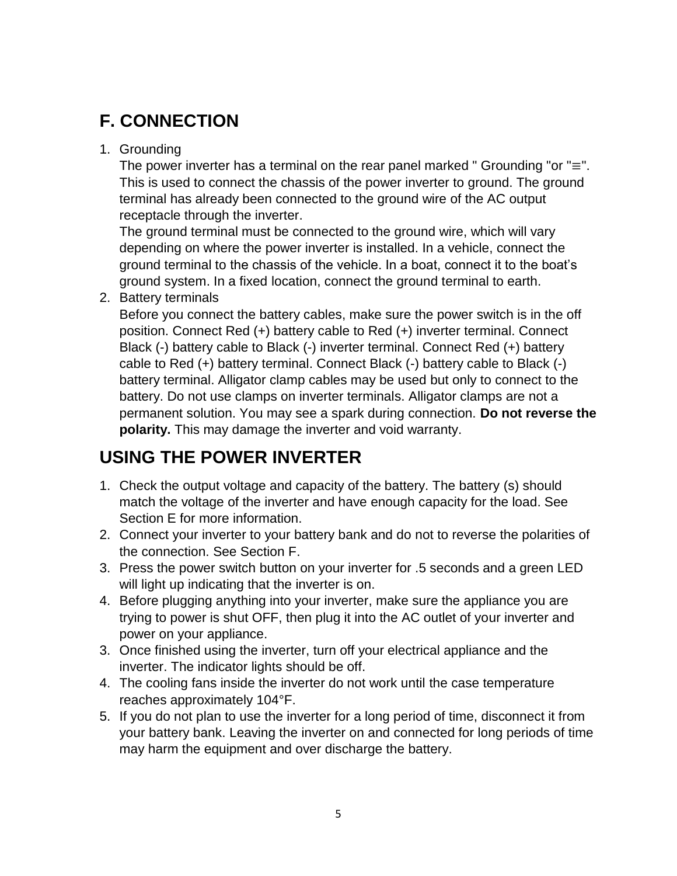## **F. CONNECTION**

1. Grounding

The power inverter has a terminal on the rear panel marked " Grounding "or " $\equiv$ ". This is used to connect the chassis of the power inverter to ground. The ground terminal has already been connected to the ground wire of the AC output receptacle through the inverter.

The ground terminal must be connected to the ground wire, which will vary depending on where the power inverter is installed. In a vehicle, connect the ground terminal to the chassis of the vehicle. In a boat, connect it to the boat's ground system. In a fixed location, connect the ground terminal to earth.

2. Battery terminals

Before you connect the battery cables, make sure the power switch is in the off position. Connect Red (+) battery cable to Red (+) inverter terminal. Connect Black (-) battery cable to Black (-) inverter terminal. Connect Red (+) battery cable to Red (+) battery terminal. Connect Black (-) battery cable to Black (-) battery terminal. Alligator clamp cables may be used but only to connect to the battery. Do not use clamps on inverter terminals. Alligator clamps are not a permanent solution. You may see a spark during connection. **Do not reverse the polarity.** This may damage the inverter and void warranty.

## **USING THE POWER INVERTER**

- 1. Check the output voltage and capacity of the battery. The battery (s) should match the voltage of the inverter and have enough capacity for the load. See Section E for more information.
- 2. Connect your inverter to your battery bank and do not to reverse the polarities of the connection. See Section F.
- 3. Press the power switch button on your inverter for .5 seconds and a green LED will light up indicating that the inverter is on.
- 4. Before plugging anything into your inverter, make sure the appliance you are trying to power is shut OFF, then plug it into the AC outlet of your inverter and power on your appliance.
- 3. Once finished using the inverter, turn off your electrical appliance and the inverter. The indicator lights should be off.
- 4. The cooling fans inside the inverter do not work until the case temperature reaches approximately 104°F.
- 5. If you do not plan to use the inverter for a long period of time, disconnect it from your battery bank. Leaving the inverter on and connected for long periods of time may harm the equipment and over discharge the battery.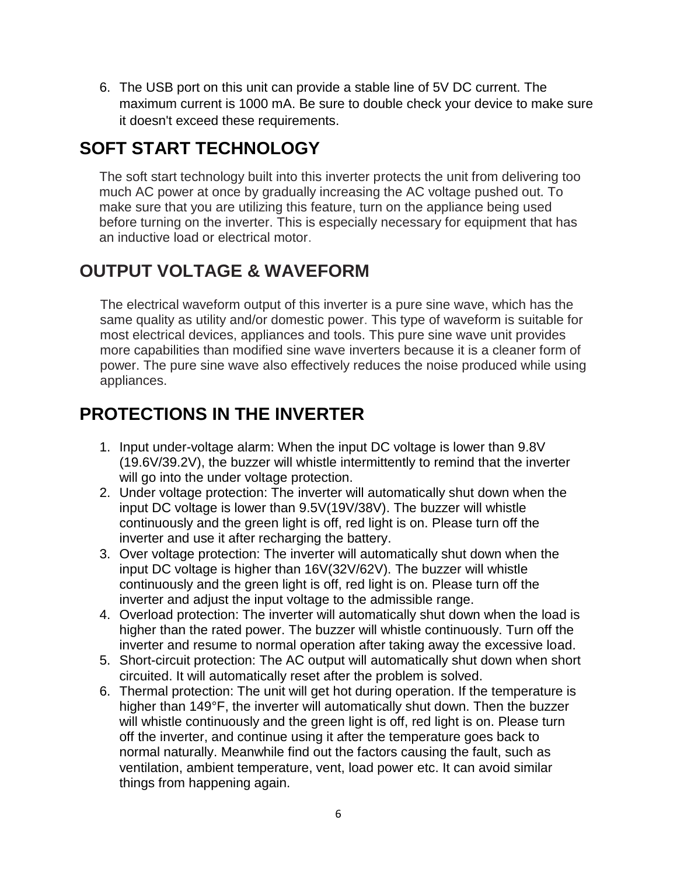6. The USB port on this unit can provide a stable line of 5V DC current. The maximum current is 1000 mA. Be sure to double check your device to make sure it doesn't exceed these requirements.

#### **SOFT START TECHNOLOGY**

The soft start technology built into this inverter protects the unit from delivering too much AC power at once by gradually increasing the AC voltage pushed out. To make sure that you are utilizing this feature, turn on the appliance being used before turning on the inverter. This is especially necessary for equipment that has an inductive load or electrical motor.

#### **OUTPUT VOLTAGE & WAVEFORM**

The electrical waveform output of this inverter is a pure sine wave, which has the same quality as utility and/or domestic power. This type of waveform is suitable for most electrical devices, appliances and tools. This pure sine wave unit provides more capabilities than modified sine wave inverters because it is a cleaner form of power. The pure sine wave also effectively reduces the noise produced while using appliances.

### **PROTECTIONS IN THE INVERTER**

- 1. Input under-voltage alarm: When the input DC voltage is lower than 9.8V (19.6V/39.2V), the buzzer will whistle intermittently to remind that the inverter will go into the under voltage protection.
- 2. Under voltage protection: The inverter will automatically shut down when the input DC voltage is lower than 9.5V(19V/38V). The buzzer will whistle continuously and the green light is off, red light is on. Please turn off the inverter and use it after recharging the battery.
- 3. Over voltage protection: The inverter will automatically shut down when the input DC voltage is higher than 16V(32V/62V). The buzzer will whistle continuously and the green light is off, red light is on. Please turn off the inverter and adjust the input voltage to the admissible range.
- 4. Overload protection: The inverter will automatically shut down when the load is higher than the rated power. The buzzer will whistle continuously. Turn off the inverter and resume to normal operation after taking away the excessive load.
- 5. Short-circuit protection: The AC output will automatically shut down when short circuited. It will automatically reset after the problem is solved.
- 6. Thermal protection: The unit will get hot during operation. If the temperature is higher than 149°F, the inverter will automatically shut down. Then the buzzer will whistle continuously and the green light is off, red light is on. Please turn off the inverter, and continue using it after the temperature goes back to normal naturally. Meanwhile find out the factors causing the fault, such as ventilation, ambient temperature, vent, load power etc. It can avoid similar things from happening again.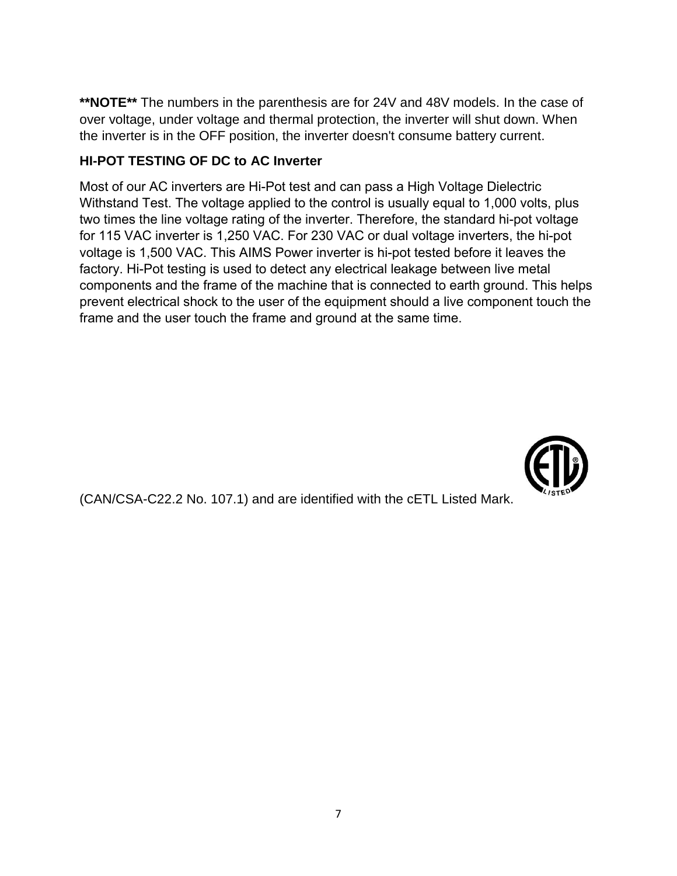**\*\*NOTE\*\*** The numbers in the parenthesis are for 24V and 48V models. In the case of over voltage, under voltage and thermal protection, the inverter will shut down. When the inverter is in the OFF position, the inverter doesn't consume battery current.

#### **HI-POT TESTING OF DC to AC Inverter**

Most of our AC inverters are Listed by Intertek to conform to UL 458 standards. One of the requirements of UL 458 is that all AC inverters pass a High Voltage Dielectric Withstand Test, commonly called the Hi-Pot Test. The voltage applied to the control is usually equal to 1,000 volts, plus two times the line voltage rating of the inverter. Therefore, the standard hi-pot voltage for 115 VAC inverter is 1,250 VAC. For 230 VAC or dual voltage inverters, the hi-pot voltage is 1,500 VAC. This AIMS Power inverter is hi-pot tested before it leaves the factory, with a UL Certified hi-pot tester, set to the voltages shown above.



(CAN/CSA-C22.2 No. 107.1) and are identified with the cETL Listed Mark.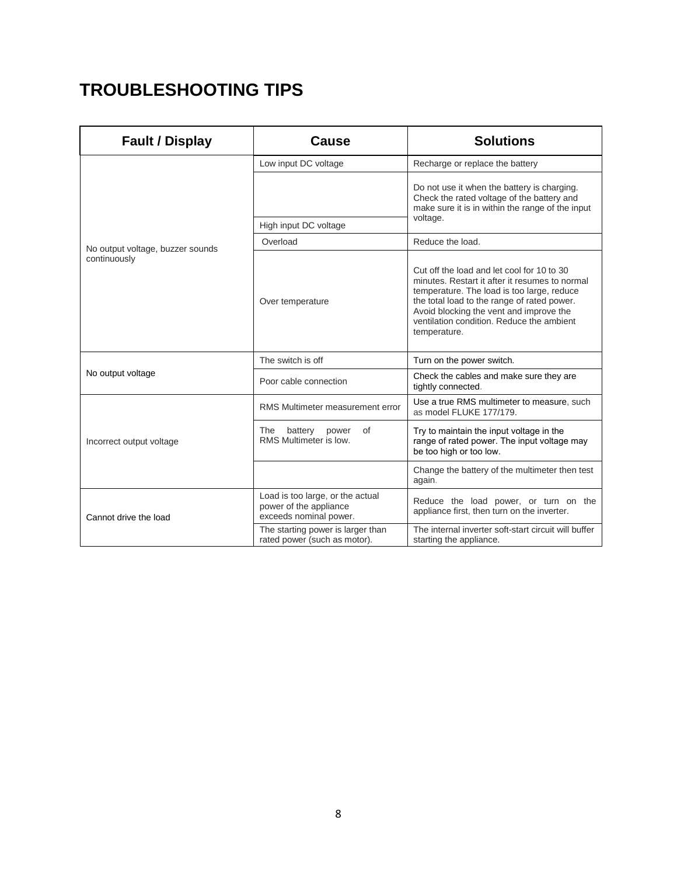# **TROUBLESHOOTING TIPS**

| <b>Fault / Display</b>                           | Cause                                                                                | <b>Solutions</b>                                                                                                                                                                                                                                                                                  |
|--------------------------------------------------|--------------------------------------------------------------------------------------|---------------------------------------------------------------------------------------------------------------------------------------------------------------------------------------------------------------------------------------------------------------------------------------------------|
| No output voltage, buzzer sounds<br>continuously | Low input DC voltage                                                                 | Recharge or replace the battery                                                                                                                                                                                                                                                                   |
|                                                  |                                                                                      | Do not use it when the battery is charging.<br>Check the rated voltage of the battery and<br>make sure it is in within the range of the input<br>voltage.                                                                                                                                         |
|                                                  | High input DC voltage                                                                |                                                                                                                                                                                                                                                                                                   |
|                                                  | Overload                                                                             | Reduce the load.                                                                                                                                                                                                                                                                                  |
|                                                  | Over temperature                                                                     | Cut off the load and let cool for 10 to 30<br>minutes. Restart it after it resumes to normal<br>temperature. The load is too large, reduce<br>the total load to the range of rated power.<br>Avoid blocking the vent and improve the<br>ventilation condition. Reduce the ambient<br>temperature. |
| No output voltage                                | The switch is off                                                                    | Turn on the power switch.                                                                                                                                                                                                                                                                         |
|                                                  | Poor cable connection                                                                | Check the cables and make sure they are<br>tightly connected.                                                                                                                                                                                                                                     |
| Incorrect output voltage                         | RMS Multimeter measurement error                                                     | Use a true RMS multimeter to measure, such<br>as model FLUKE 177/179.                                                                                                                                                                                                                             |
|                                                  | The<br>battery<br>power<br>οf<br>RMS Multimeter is low.                              | Try to maintain the input voltage in the<br>range of rated power. The input voltage may<br>be too high or too low.                                                                                                                                                                                |
|                                                  |                                                                                      | Change the battery of the multimeter then test<br>again.                                                                                                                                                                                                                                          |
| Cannot drive the load                            | Load is too large, or the actual<br>power of the appliance<br>exceeds nominal power. | Reduce the load, or turn on the<br>appliance first, then turn on the inverter.                                                                                                                                                                                                                    |
|                                                  | The starting power is larger than<br>rated power (such as motor).                    | The internal inverter soft-start circuit will buffer<br>starting the appliance.                                                                                                                                                                                                                   |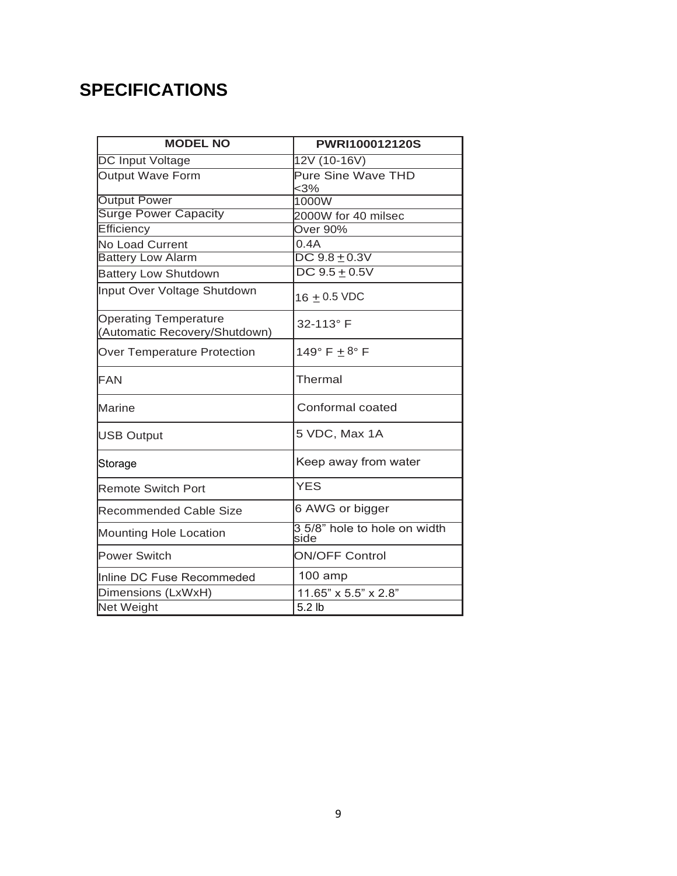# **SPECIFICATIONS**

| <b>MODEL NO</b>                                               | PWRI100012120S                       |
|---------------------------------------------------------------|--------------------------------------|
| <b>DC Input Voltage</b>                                       | 12V (10-16V)                         |
| <b>Output Wave Form</b>                                       | <b>Pure Sine Wave THD</b>            |
|                                                               | $<$ 3%                               |
| <b>Output Power</b>                                           | 1000W                                |
| <b>Surge Power Capacity</b>                                   | 2000W for 40 milsec                  |
| Efficiency                                                    | Over 90%                             |
| <b>No Load Current</b>                                        | 0.4A                                 |
| <b>Battery Low Alarm</b>                                      | $DC$ $9.8 + 0.3V$                    |
| <b>Battery Low Shutdown</b>                                   | $DC 9.5 + 0.5V$                      |
| Input Over Voltage Shutdown                                   | 16 $\pm$ 0.5 VDC                     |
| <b>Operating Temperature</b><br>(Automatic Recovery/Shutdown) | 32-113° F                            |
| <b>Over Temperature Protection</b>                            | 149 $\degree$ F $\pm$ 8 $\degree$ F  |
| FAN                                                           | <b>Thermal</b>                       |
| Marine                                                        | Conformal coated                     |
| <b>USB Output</b>                                             | 5 VDC, Max 1A                        |
| Storage                                                       | Keep away from water                 |
| <b>Remote Switch Port</b>                                     | <b>YES</b>                           |
| <b>Recommended Cable Size</b>                                 | 6 AWG or bigger                      |
| <b>Mounting Hole Location</b>                                 | 3 5/8" hole to hole on width<br>side |
| Power Switch                                                  | <b>ON/OFF Control</b>                |
| Inline DC Fuse Recommeded                                     | 100 amp                              |
| Dimensions (LxWxH)                                            | 11.65" x 5.5" x 2.8"                 |
| Net Weight                                                    | $5.2$ lb                             |